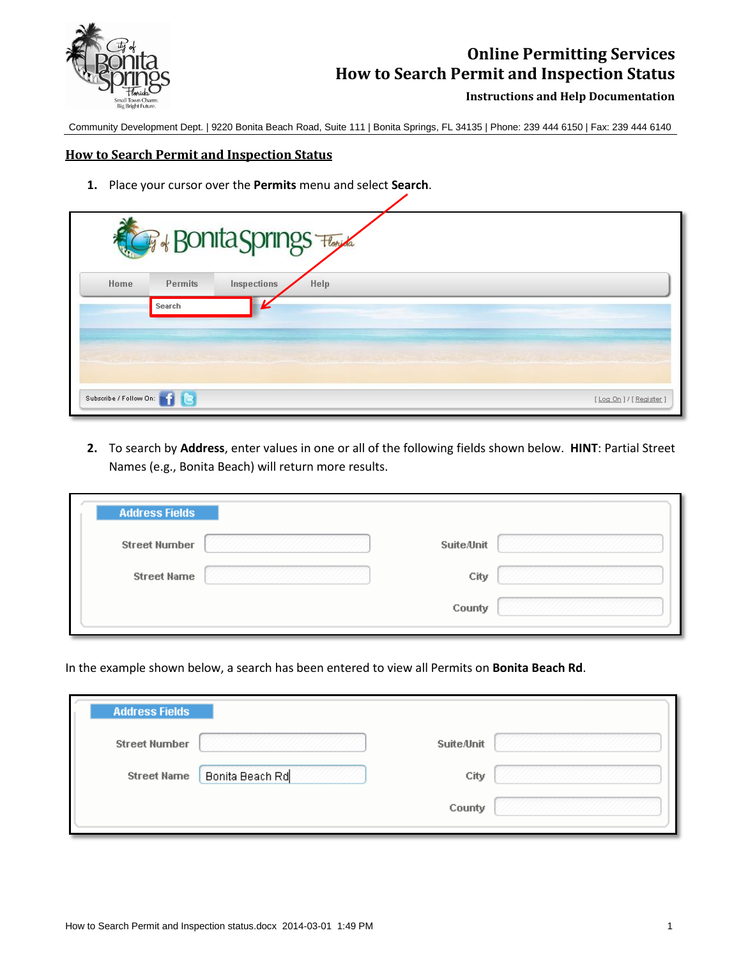

## **Online Permitting Services How to Search Permit and Inspection Status**

**Instructions and Help Documentation**

Community Development Dept. | 9220 Bonita Beach Road, Suite 111 | Bonita Springs, FL 34135 | Phone: 239 444 6150 | Fax: 239 444 6140

## **How to Search Permit and Inspection Status**

**1.** Place your cursor over the **Permits** menu and select **Search**.

|                             |                          | <b>CF + Bonita Springs</b> |      |  |  |                          |
|-----------------------------|--------------------------|----------------------------|------|--|--|--------------------------|
| Home                        | <b>Permits</b><br>Search | Inspections                | Help |  |  |                          |
|                             |                          |                            |      |  |  |                          |
|                             |                          |                            |      |  |  |                          |
| Subscribe / Follow On: 1977 | Ta                       |                            |      |  |  | [Log On ] / [ Register ] |

**2.** To search by **Address**, enter values in one or all of the following fields shown below. **HINT**: Partial Street Names (e.g., Bonita Beach) will return more results.

| <b>Address Fields</b> |                   |
|-----------------------|-------------------|
| <b>Street Number</b>  | <b>Suite/Unit</b> |
| <b>Street Name</b>    | City              |
|                       | County            |

In the example shown below, a search has been entered to view all Permits on **Bonita Beach Rd**.

| <b>Suite/Unit</b> |
|-------------------|
| City              |
| County            |
|                   |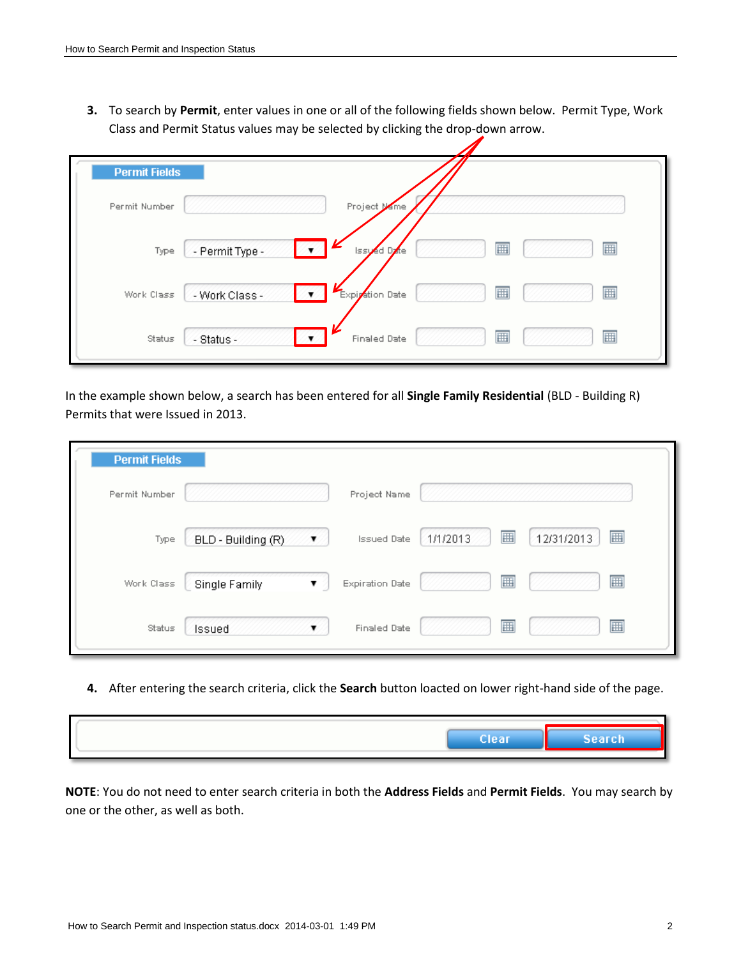**3.** To search by **Permit**, enter values in one or all of the following fields shown below. Permit Type, Work Class and Permit Status values may be selected by clicking the drop-down arrow.

| <b>Permit Fields</b> |                                             |
|----------------------|---------------------------------------------|
| Permit Number        | Project Mame                                |
| Type                 | 團<br>圃<br>- Permit Type -<br>Issued Date    |
| Work Class           | 囲<br>Expiration Date<br>囲<br>- Work Class - |
| Status               | 圃<br>圃<br>- Status -<br><b>Finaled Date</b> |

In the example shown below, a search has been entered for all **Single Family Residential** (BLD - Building R) Permits that were Issued in 2013.

| <b>Permit Fields</b> |                         |                        |               |                 |
|----------------------|-------------------------|------------------------|---------------|-----------------|
| Permit Number        |                         | Project Name           |               |                 |
| Type                 | BLD - Building (R)<br>▼ | <b>Issued Date</b>     | 團<br>1/1/2013 | ⊞<br>12/31/2013 |
| Work Class           | Single Family<br>▼ 2    | <b>Expiration Date</b> | 圃             | 圃               |
| Status               | Issued                  | <b>Finaled Date</b>    | 團             | 圃               |

**4.** After entering the search criteria, click the **Search** button loacted on lower right-hand side of the page.

| Clear | Search |
|-------|--------|
|       |        |

**NOTE**: You do not need to enter search criteria in both the **Address Fields** and **Permit Fields**. You may search by one or the other, as well as both.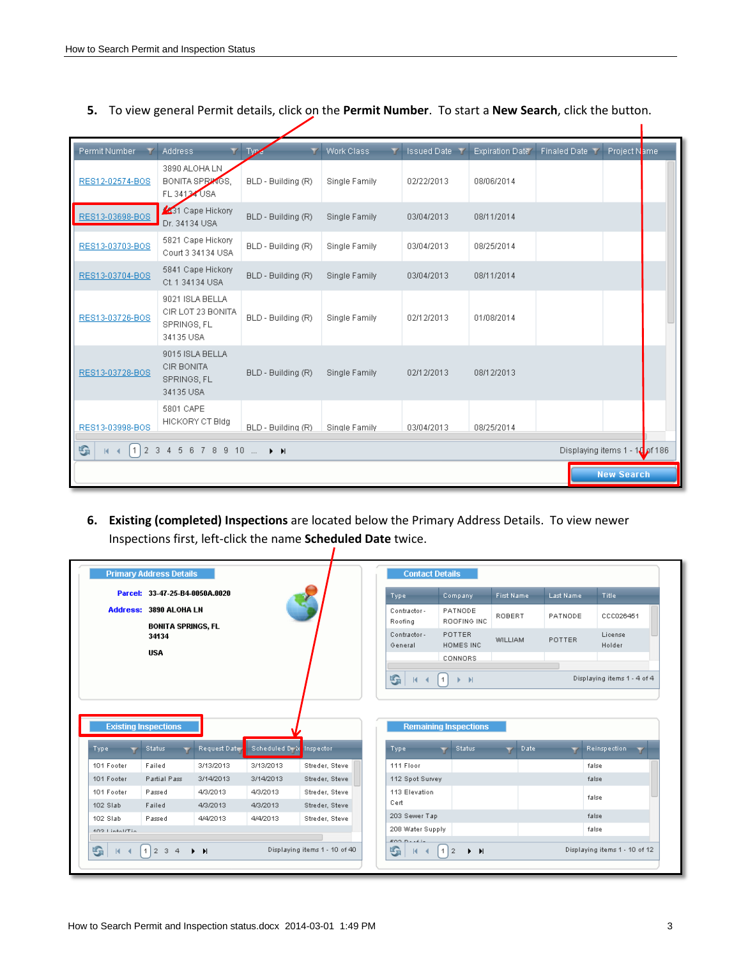| Permit Number   | <b>Address</b>                                                   | Type               | Work Class    | <b>Issued Date</b> | <b>Expiration Date</b> | <b>Finaled Date 1</b>              | Project Name      |  |
|-----------------|------------------------------------------------------------------|--------------------|---------------|--------------------|------------------------|------------------------------------|-------------------|--|
| RES12-02574-BOS | 3890 ALOHA LN<br><b>BONITA SPRINGS,</b><br>FL 34124 USA          | BLD - Building (R) | Single Family | 02/22/2013         | 08/06/2014             |                                    |                   |  |
| RES13-03698-BOS | 31 Cape Hickory<br>Dr. 34134 USA                                 | BLD - Building (R) | Single Family | 03/04/2013         | 08/11/2014             |                                    |                   |  |
| RES13-03703-BOS | 5821 Cape Hickory<br>Court 3 34134 USA                           | BLD - Building (R) | Single Family | 03/04/2013         | 08/25/2014             |                                    |                   |  |
| RES13-03704-BOS | 5841 Cape Hickory<br>Ct. 1 34134 USA                             | BLD - Building (R) | Single Family | 03/04/2013         | 08/11/2014             |                                    |                   |  |
| RES13-03726-BOS | 9021 ISLA BELLA<br>CIR LOT 23 BONITA<br>SPRINGS, FL<br>34135 USA | BLD - Building (R) | Single Family | 02/12/2013         | 01/08/2014             |                                    |                   |  |
| RES13-03728-BOS | 9015 ISLA BELLA<br><b>CIR BONITA</b><br>SPRINGS, FL<br>34135 USA | BLD - Building (R) | Single Family | 02/12/2013         | 08/12/2013             |                                    |                   |  |
| RES13-03998-BOS | 5801 CAPE<br>HICKORY CT BIdg                                     | BLD - Building (R) | Single Family | 03/04/2013         | 08/25/2014             |                                    |                   |  |
| G               | $12345678910$ $\rightarrow$ N                                    |                    |               |                    |                        | 186 Displaying items 1 - 10 of 186 |                   |  |
|                 |                                                                  |                    |               |                    |                        |                                    | <b>New Search</b> |  |

**5.** To view general Permit details, click on the **Permit Number**. To start a **New Search**, click the button.

**6. Existing (completed) Inspections** are located below the Primary Address Details. To view newer Inspections first, left-click the name **Scheduled Date** twice.

1

|                                                                                  | Parcel: 33-47-25-B4-0050A.0020        |              |                |                | Type:                            | Company,                                      | First Name     |       | Last Name     | Title:                      |  |
|----------------------------------------------------------------------------------|---------------------------------------|--------------|----------------|----------------|----------------------------------|-----------------------------------------------|----------------|-------|---------------|-----------------------------|--|
|                                                                                  | <b>Address: 3890 ALOHA LN</b>         |              |                |                | Contractor-<br>Roofing           | PATNODE<br>ROOFING INC                        | ROBERT         |       | PATNODE       | CCC026451                   |  |
|                                                                                  | <b>BONITA SPRINGS, FL</b><br>34134    |              |                |                | Contractor-<br>General           | POTTER<br>HOMES INC.                          | <b>WILLIAM</b> |       | <b>POTTER</b> | License<br>Holder           |  |
|                                                                                  | <b>USA</b>                            |              |                |                |                                  | <b>CONNORS</b>                                |                |       |               |                             |  |
|                                                                                  |                                       |              |                |                | G.<br>$\mathbb{R}$               | $\vert$ 1<br>$\rightarrow$<br>Þ.              |                |       |               | Displaying items 1 - 4 of 4 |  |
|                                                                                  |                                       |              |                |                |                                  |                                               |                |       |               |                             |  |
|                                                                                  | <b>Existing Inspections</b><br>Status | Request Date | Scheduled Dr & | Inspector      | Type                             | <b>Remaining Inspections</b><br><b>Status</b> |                | Date: |               | <b>Reinspection</b>         |  |
| Type:                                                                            | Failed                                | 3/13/2013    | 3/13/2013      | Streder, Steve | 111 Floor                        |                                               |                |       |               | false                       |  |
|                                                                                  | Partial Pass                          | 3/14/2013    | 3/14/2013      | Streder, Steve | 112 Spot Survey                  |                                               |                |       |               | false                       |  |
|                                                                                  | Passed                                | 4/3/2013     | 4/3/2013       | Streder, Steve | 113 Elevation                    |                                               |                |       |               |                             |  |
|                                                                                  | Failed                                | 4/3/2013     | 4/3/2013       | Streder, Steve | Cert                             |                                               |                |       |               | false                       |  |
|                                                                                  | Passed                                | 4/4/2013     | 4/4/2013       | Streder, Steve | 203 Sewer Tap                    |                                               |                |       |               | false                       |  |
| 101 Footer<br>101 Footer<br>101 Footer<br>102 Slab<br>102 Slab<br>402 Lintal/Tin |                                       |              |                |                | 208 Water Supply<br>$2000 - 144$ |                                               |                |       |               | false                       |  |